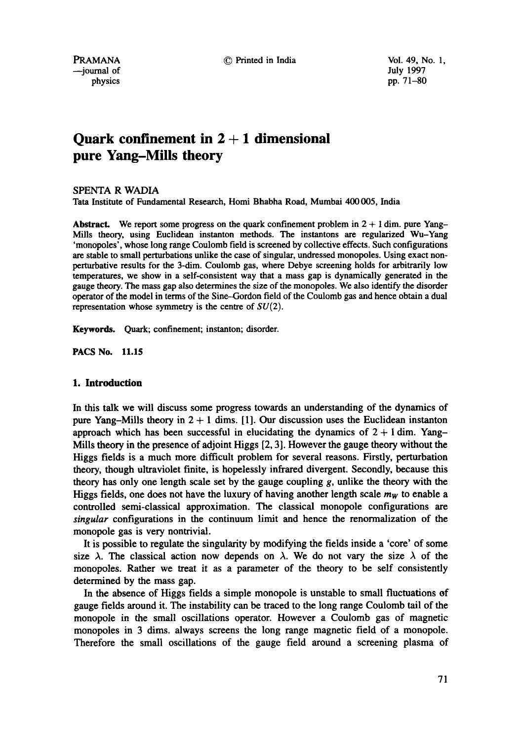© Printed in India Vol. 49, No. 1,

PRAMANA --journal of physics

July 1997 pp. 71-80

# **Quark confinement in 2 + 1 dimensional pure Yang-Mills theory**

SPENTA R WADIA

Tata Institute of Fundamental Research, Homi Bhabha Road, Mumbai 400 005, India

Abstract. We report some progress on the quark confinement problem in  $2 + 1$  dim. pure Yang-Mills theory, using Euclidean instanton methods. The instantons are regularized Wu-Yang 'monopoles', whose long range Coulomb field is screened by collective effects. Such configurations are stable to small perturbations unlike the case of singular, undressed monopoles. Using exact nonperturbative results for the 3-dim. Coulomb gas, where Debye screening holds for arbitrarily low temperatures, we show **in a** self-consistent way that a mass gap is dynamically generated in the gauge theory. The mass gap also determines the size of the monopoles. We also identify the disorder operator of the model in terms of the Sine-Gordon field of the Coulomb gas and hence obtain a dual representation whose symmetry is the centre of  $SU(2)$ .

Keywords. Quark; confinement; instanton; disorder.

**PACS No. 11.15** 

## **1. Introduction**

In this talk we will discuss some progress towards an understanding of the dynamics of pure Yang-Mills theory in  $2 + 1$  dims. [1]. Our discussion uses the Euclidean instanton approach which has been successful in elucidating the dynamics of  $2 + 1$  dim. Yang-Mills theory in the presence of adjoint Higgs [2, 3]. However the gauge theory without the Higgs fields is a much more difficult problem for several reasons. Firstly, perturbation theory, though ultraviolet finite, is hopelessly infrared divergent. Secondly, because this theory has only one length scale set by the gauge coupling  $g$ , unlike the theory with the Higgs fields, one does not have the luxury of having another length scale  $m<sub>W</sub>$  to enable a controlled semi-classical approximation. The classical monopole configurations are *singular* configurations in the continuum limit and hence the renormalization of the monopole gas is very nontrivial.

It is possible to regulate the singularity by modifying the fields inside a 'core' of some size  $\lambda$ . The classical action now depends on  $\lambda$ . We do not vary the size  $\lambda$  of the monopoles. Rather we treat it as a parameter of the theory to be self consistently determined by the mass gap.

In the absence of Higgs fields a simple monopole is unstable to small fluctuations of gauge fields around it. The instability can be traced to the long range Coulomb tail of the monopole in the small oscillations operator. However a Coulomb gas of magnetic monopoles in 3 dims. always screens the long range magnetic field of a monopole. Therefore the small oscillations of the gauge field around a screening plasma of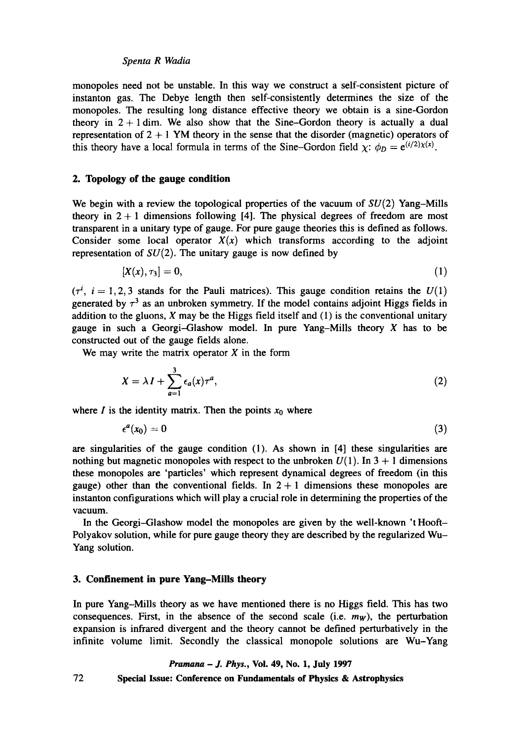monopoles need not be unstable. In this way we construct a self-consistent picture of instanton gas. The Debye length then self-consistently determines the size of the monopoles. The resulting long distance effective theory we obtain is a sine-Gordon theory in  $2 + 1$  dim. We also show that the Sine-Gordon theory is actually a dual representation of  $2 + 1$  YM theory in the sense that the disorder (magnetic) operators of this theory have a local formula in terms of the Sine-Gordon field  $\chi$ :  $\phi_D = e^{(i/2)\chi(x)}$ .

# **2. Topology of the gauge condition**

We begin with a review the topological properties of the vacuum of  $SU(2)$  Yang-Mills theory in  $2 + 1$  dimensions following [4]. The physical degrees of freedom are most transparent in a unitary type of gauge. For pure gauge theories this is defined as follows. Consider some local operator  $X(x)$  which transforms according to the adjoint representation of  $SU(2)$ . The unitary gauge is now defined by

$$
[X(x), \tau_3] = 0,\t\t(1)
$$

 $(\tau^i, i = 1, 2, 3$  stands for the Pauli matrices). This gauge condition retains the  $U(1)$ generated by  $\tau^3$  as an unbroken symmetry. If the model contains adjoint Higgs fields in addition to the gluons,  $X$  may be the Higgs field itself and  $(1)$  is the conventional unitary gauge in such a Georgi-Glashow model. In pure Yang-Mills theory  $X$  has to be constructed out of the gauge fields alone.

We may write the matrix operator  $X$  in the form

$$
X = \lambda I + \sum_{a=1}^{3} \epsilon_a(x) \tau^a,
$$
 (2)

where I is the identity matrix. Then the points  $x_0$  where

$$
\epsilon^a(x_0)=0\tag{3}
$$

are singularities of the gauge condition (1). As shown in [4] these singularities are nothing but magnetic monopoles with respect to the unbroken  $U(1)$ . In 3 + 1 dimensions these monopoles are 'particles' which represent dynamical degrees of freedom (in this gauge) other than the conventional fields. In  $2 + 1$  dimensions these monopoles are instanton configurations which will play a crucial role in determining the properties of the vacuum.

In the Georgi-Glashow model the monopoles are given by the well-known 't Hooft-Polyakov solution, while for pure gauge theory they are described by the regularized Wu-Yang solution.

### **3. Confinement in pure Yang-Mills theory**

In pure Yang-Mills theory as we have mentioned there is no Higgs field. This has two consequences. First, in the absence of the second scale (i.e.  $m_W$ ), the perturbation expansion is infrared divergent and the theory cannot be defined perturbatively in the infinite volume limit. Secondly the classical monopole solutions are Wu-Yang

### *Pramana - J. Phys.,* Vol. 49, No. 1, July 1997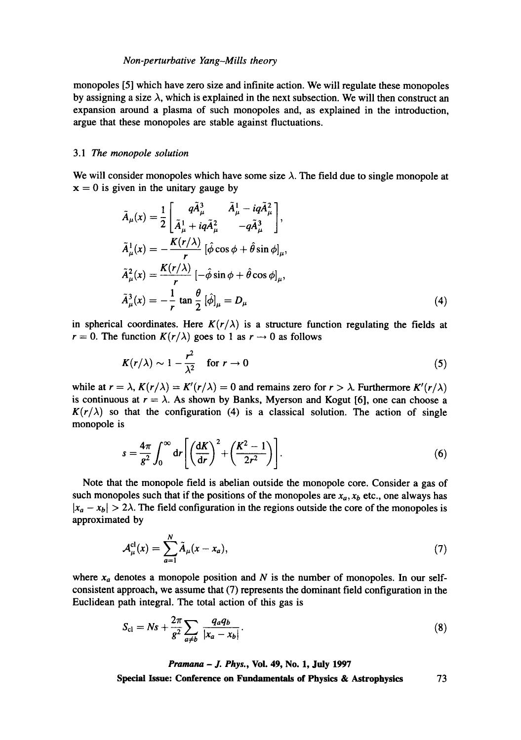### *Non-perturbative Yang-Mills theory*

monopoles [5] which have zero size and infinite action. We will regulate these monopoles by assigning a size  $\lambda$ , which is explained in the next subsection. We will then construct an expansion around a plasma of such monopoles and, as explained in the introduction, argue that these monopoles are stable against fluctuations.

## *3.1 The monopole solution*

We will consider monopoles which have some size  $\lambda$ . The field due to single monopole at  $x = 0$  is given in the unitary gauge by

$$
\tilde{A}_{\mu}(x) = \frac{1}{2} \begin{bmatrix} q\tilde{A}_{\mu}^{3} & \tilde{A}_{\mu}^{1} - iq\tilde{A}_{\mu}^{2} \\ \tilde{A}_{\mu}^{1} + iq\tilde{A}_{\mu}^{2} & -q\tilde{A}_{\mu}^{3} \end{bmatrix},
$$
  
\n
$$
\tilde{A}_{\mu}^{1}(x) = -\frac{K(r/\lambda)}{r} \left[ \hat{\phi} \cos \phi + \hat{\theta} \sin \phi \right]_{\mu},
$$
  
\n
$$
\tilde{A}_{\mu}^{2}(x) = \frac{K(r/\lambda)}{r} \left[ -\hat{\phi} \sin \phi + \hat{\theta} \cos \phi \right]_{\mu},
$$
  
\n
$$
\tilde{A}_{\mu}^{3}(x) = -\frac{1}{r} \tan \frac{\theta}{2} \left[ \hat{\phi} \right]_{\mu} = D_{\mu}
$$
\n(4)

in spherical coordinates. Here  $K(r/\lambda)$  is a structure function regulating the fields at  $r = 0$ . The function  $K(r/\lambda)$  goes to 1 as  $r \to 0$  as follows

$$
K(r/\lambda) \sim 1 - \frac{r^2}{\lambda^2} \quad \text{for } r \to 0 \tag{5}
$$

while at  $r = \lambda$ ,  $K(r/\lambda) = K'(r/\lambda) = 0$  and remains zero for  $r > \lambda$ . Furthermore  $K'(r/\lambda)$ is continuous at  $r = \lambda$ . As shown by Banks, Myerson and Kogut [6], one can choose a  $K(r/\lambda)$  so that the configuration (4) is a classical solution. The action of single monopole is

$$
s = \frac{4\pi}{g^2} \int_0^\infty dr \left[ \left( \frac{dK}{dr} \right)^2 + \left( \frac{K^2 - 1}{2r^2} \right) \right].
$$
 (6)

Note that the monopole field is abelian outside the monopole core. Consider a gas of such monopoles such that if the positions of the monopoles are  $x_a$ ,  $x_b$  etc., one always has  $|x_a - x_b| > 2\lambda$ . The field configuration in the regions outside the core of the monopoles is approximated by

$$
\mathcal{A}_{\mu}^{\mathsf{cl}}(x) = \sum_{a=1}^{N} \tilde{A}_{\mu}(x - x_a),\tag{7}
$$

where  $x_a$  denotes a monopole position and N is the number of monopoles. In our selfconsistent approach, we assume that (7) represents the dominant field configuration in the Euclidean path integral. The total action of this gas is

$$
S_{\rm cl} = Ns + \frac{2\pi}{g^2} \sum_{a \neq b} \frac{q_a q_b}{|x_a - x_b|}.
$$
 (8)

*Pranmna - J. Phys.,* **Vol. 49, No. 1, July 1997**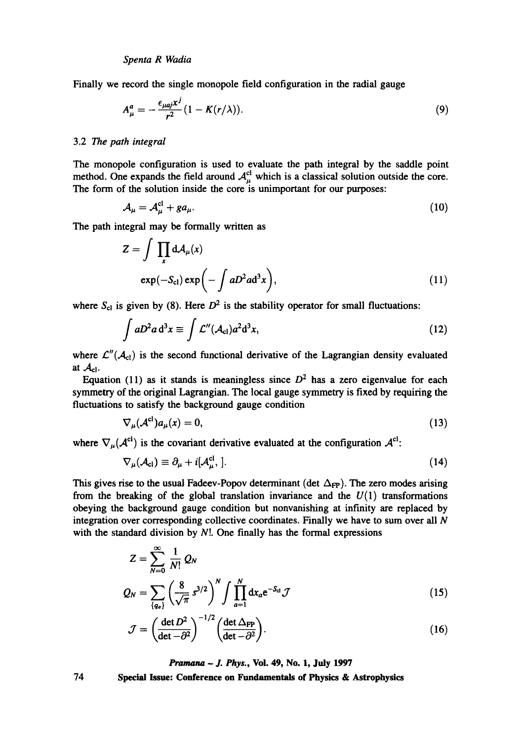Finally we record the single monopole field configuration in the radial gauge

$$
A_{\mu}^{a} = -\frac{\epsilon_{\mu a j} x^{j}}{r^{2}} (1 - K(r/\lambda)).
$$
\n(9)

# 3.2 The *path integral*

The monopole configuration is used to evaluate the path integral by the saddle point method. One expands the field around  $A<sub>u</sub><sup>cl</sup>$  which is a classical solution outside the core. The form of the solution inside the core is unimportant for our purposes:

$$
\mathcal{A}_{\mu} = \mathcal{A}_{\mu}^{\mathrm{cl}} + g a_{\mu}.\tag{10}
$$

The path integral may be formally written as

$$
Z = \int \prod_{x} dA_{\mu}(x)
$$
  
exp $(-S_{c1})$ exp $\left(-\int aD^{2}ad^{3}x\right)$ , (11)

where  $S_{c1}$  is given by (8). Here  $D^2$  is the stability operator for small fluctuations:

$$
\int aD^2 a \, d^3 x \equiv \int \mathcal{L}''(\mathcal{A}_{\rm cl}) a^2 d^3 x,\tag{12}
$$

where  $\mathcal{L}''(\mathcal{A}_{cl})$  is the second functional derivative of the Lagrangian density evaluated at  $\mathcal{A}_{\text{cl}}$ .

Equation (11) as it stands is meaningless since  $D^2$  has a zero eigenvalue for each symmetry of the original Lagrangian. The local gauge symmetry is fixed by requiring the fluctuations to satisfy the background gauge condition

$$
\nabla_{\mu}(\mathcal{A}^{\mathbf{cl}})a_{\mu}(x) = 0, \tag{13}
$$

where  $\nabla_{\mu}(\mathcal{A}^{cl})$  is the covariant derivative evaluated at the configuration  $\mathcal{A}^{cl}$ :

$$
\nabla_{\mu}(\mathcal{A}_{\text{cl}}) \equiv \partial_{\mu} + i[\mathcal{A}_{\mu}^{\text{cl}},]. \tag{14}
$$

This gives rise to the usual Fadeev-Popov determinant (det  $\Delta_{FP}$ ). The zero modes arising from the breaking of the global translation invariance and the  $U(1)$  transformations obeying the background gauge condition but nonvanishing at infinity are replaced by integration over corresponding collective coordinates. Finally we have to sum over all  $N$ with the standard division by  $N!$ . One finally has the formal expressions

$$
Z = \sum_{N=0}^{\infty} \frac{1}{N!} Q_N
$$
  

$$
Q_N = \sum_{\{q_a\}} \left(\frac{8}{\sqrt{\pi}} s^{3/2}\right)^N \int \prod_{a=1}^N dx_a e^{-S_{\text{el}}} \mathcal{J}
$$
 (15)

$$
\mathcal{J} = \left(\frac{\det D^2}{\det - \partial^2}\right)^{-1/2} \left(\frac{\det \Delta_{FP}}{\det - \partial^2}\right).
$$
 (16)

*Pramana - J. Phys.,* **Vol. 49, No. 1, July 1997**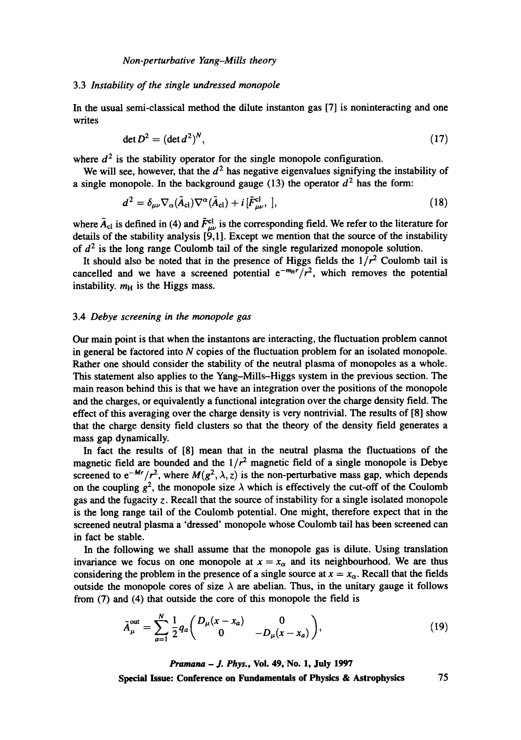# 3.3 *Instability of the single undressed monopole*

In the usual semi-classical method the dilute instanton gas [7] is noninteracting and one writes

$$
\det D^2 = (\det d^2)^N,\tag{17}
$$

where  $d^2$  is the stability operator for the single monopole configuration.

We will see, however, that the  $d<sup>2</sup>$  has negative eigenvalues signifying the instability of a single monopole. In the background gauge (13) the operator  $d^2$  has the form:

$$
d^{2} = \delta_{\mu\nu} \nabla_{\alpha} (\tilde{A}_{\rm cl}) \nabla^{\alpha} (\tilde{A}_{\rm cl}) + i \left[ \tilde{F}_{\mu\nu}^{\rm cl}, \right], \qquad (18)
$$

where  $\tilde{A}_{cl}$  is defined in (4) and  $\tilde{F}_{\mu\nu}^{cl}$  is the corresponding field. We refer to the literature for details of the stability analysis  $[9,1]$ . Except we mention that the source of the instability of  $d^2$  is the long range Coulomb tail of the single regularized monopole solution.

It should also be noted that in the presence of Higgs fields the  $1/r^2$  Coulomb tail is cancelled and we have a screened potential  $e^{-m_H r}/r^2$ , which removes the potential instability.  $m<sub>H</sub>$  is the Higgs mass.

# 3.4 *Debye screening in the monopole gas*

Our main point is that when the instantons are interacting, the fluctuation problem cannot in general be factored into N copies of the fluctuation problem for an isolated monopole. Rather one should consider the stability of the neutral plasma of monopoles as a whole. This statement also applies to the Yang-Mills-Higgs system in the previous section. The main reason behind this is that we have an integration over the positions of the monopole and the charges, or equivalently a functional integration over the charge density field. The effect of this averaging over the charge density is very nontrivial. The results of [8] show that the charge density field clusters so that the theory of the density field generates a mass gap dynamically.

In fact the results of [8] mean that in the neutral plasma the fluctuations of the magnetic field are bounded and the  $1/r^2$  magnetic field of a single monopole is Debye screened to  $e^{-Mr}/r^2$ , where  $M(g^2, \lambda, z)$  is the non-perturbative mass gap, which depends on the coupling  $g^2$ , the monopole size  $\lambda$  which is effectively the cut-off of the Coulomb gas and the fugacity z. Recall that the source of instability for a single isolated monopole is the long range tail of the Coulomb potential. One might, therefore expect that in the screened neutral plasma a 'dressed' monopole whose Coulomb tail has been screened can in fact be stable.

In the following we shall assume that the monopole gas is dilute. Using translation invariance we focus on one monopole at  $x = x<sub>\alpha</sub>$  and its neighbourhood. We are thus considering the problem in the presence of a single source at  $x = x<sub>\alpha</sub>$ . Recall that the fields outside the monopole cores of size  $\lambda$  are abelian. Thus, in the unitary gauge it follows from (7) and (4) that outside the core of this monopole the field is

$$
\tilde{A}_{\mu}^{\text{out}} = \sum_{a=1}^{N} \frac{1}{2} q_a \begin{pmatrix} D_{\mu}(x - x_a) & 0 \\ 0 & -D_{\mu}(x - x_a) \end{pmatrix}, \tag{19}
$$

*Pramana - J. Phys.,* **Vol. 49, No. 1, July 1997 Special Issue: Conference on Fundamentals of Physics & Astrophysics** 75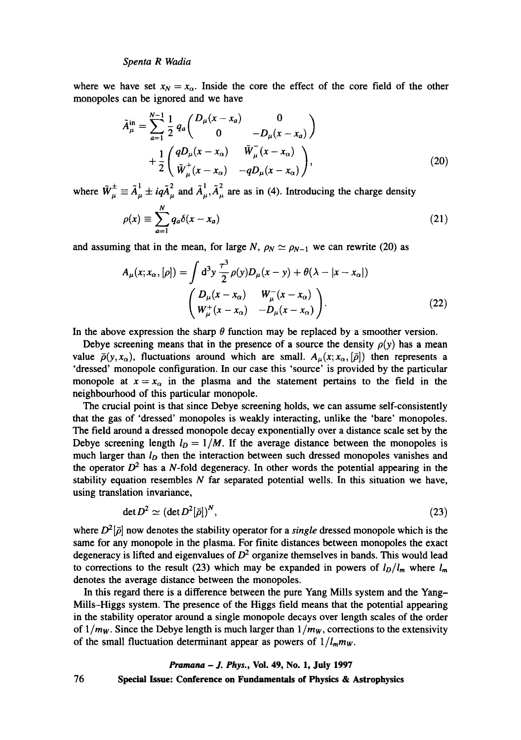where we have set  $x_N = x_\alpha$ . Inside the core the effect of the core field of the other monopoles can be ignored and we have

$$
\tilde{A}_{\mu}^{\text{in}} = \sum_{a=1}^{N-1} \frac{1}{2} q_a \begin{pmatrix} D_{\mu}(x - x_a) & 0 \\ 0 & -D_{\mu}(x - x_a) \end{pmatrix} + \frac{1}{2} \begin{pmatrix} qD_{\mu}(x - x_{\alpha}) & \tilde{W}_{\mu}^{-}(x - x_{\alpha}) \\ \tilde{W}_{\mu}^{+}(x - x_{\alpha}) & -qD_{\mu}(x - x_{\alpha}) \end{pmatrix},
$$
\n(20)

where  $\tilde{W}_u^{\pm} \equiv \tilde{A}_u^1 \pm i q \tilde{A}_u^2$  and  $\tilde{A}_u^1, \tilde{A}_u^2$  are as in (4). Introducing the charge density

$$
\rho(x) \equiv \sum_{a=1}^{N} q_a \delta(x - x_a) \tag{21}
$$

and assuming that in the mean, for large N,  $\rho_N \simeq \rho_{N-1}$  we can rewrite (20) as

$$
A_{\mu}(x; x_{\alpha}, [\rho]) = \int d^3 y \frac{\tau^3}{2} \rho(y) D_{\mu}(x - y) + \theta(\lambda - |x - x_{\alpha}|)
$$

$$
\begin{pmatrix} D_{\mu}(x - x_{\alpha}) & W_{\mu}^-(x - x_{\alpha}) \\ W_{\mu}^+(x - x_{\alpha}) & -D_{\mu}(x - x_{\alpha}) \end{pmatrix}.
$$
(22)

In the above expression the sharp  $\theta$  function may be replaced by a smoother version.

Debye screening means that in the presence of a source the density  $\rho(y)$  has a mean value  $\bar{\rho}(y,x_{\alpha})$ , fluctuations around which are small.  $A_{\mu}(x;x_{\alpha},\bar{\rho})$  then represents a 'dressed' monopole configuration. In our case this 'source' is provided by the particular monopole at  $x=x_\alpha$  in the plasma and the statement pertains to the field in the neighbourhood of this particular monopole.

The crucial point is that since Debye screening holds, we can assume self-consistently that the gas of 'dressed' monopoles is weakly interacting, unlike the 'bare' monopoles. The field around a dressed monopole decay exponentially over a distance scale set by the Debye screening length  $l<sub>D</sub> = 1/M$ . If the average distance between the monopoles is much larger than *lo* then the interaction between such dressed monopoles vanishes and the operator  $D^2$  has a N-fold degeneracy. In other words the potential appearing in the stability equation resembles  $N$  far separated potential wells. In this situation we have, using translation invariance,

$$
\det D^2 \simeq (\det D^2[\bar{\rho}])^N,\tag{23}
$$

where  $D^2[\bar{\rho}]$  now denotes the stability operator for a *single* dressed monopole which is the same for any monopole in the plasma. For finite distances between monopoles the exact degeneracy is lifted and eigenvalues of  $D<sup>2</sup>$  organize themselves in bands. This would lead to corrections to the result (23) which may be expanded in powers of  $l_D/l_m$  where  $l_m$ denotes the average distance between the monopoles.

In this regard there is a difference between the pure Yang Mills system and the Yang-Mills-Higgs system. The presence of the Higgs field means that the potential appearing in the stability operator around a single monopole decays over length scales of the order of  $1/m_W$ . Since the Debye length is much larger than  $1/m_W$ , corrections to the extensivity of the small fluctuation determinant appear as powers of  $1/l_m m_W$ .

# *Pramana - J. Phys.,* **Vol. 49, No. 1, July 1997**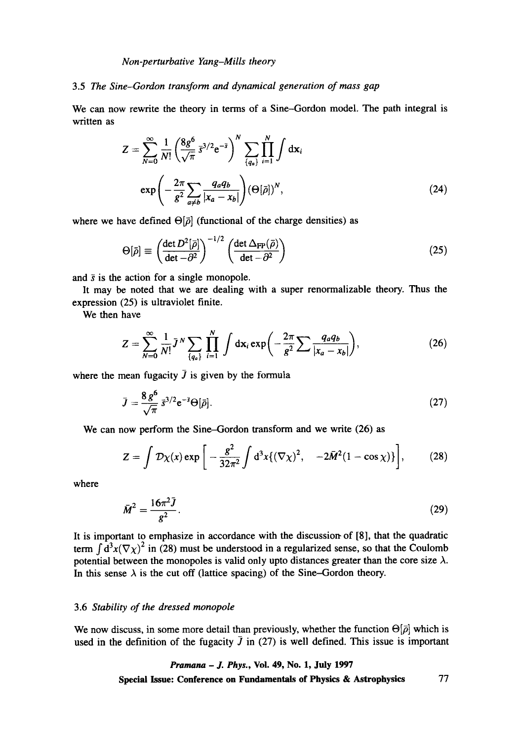*Non-perturbative Yang-Mills theory* 

# 3.5 *The Sine-Gordon transform and dynamical generation of mass gap*

We can now rewrite the theory in terms of a Sine-Gordon model. The path integral is written as

$$
Z = \sum_{N=0}^{\infty} \frac{1}{N!} \left( \frac{8g^6}{\sqrt{\pi}} \overline{s}^{3/2} e^{-\overline{s}} \right)^N \sum_{\{q_a\}} \prod_{i=1}^N \int d\mathbf{x}_i
$$

$$
\exp\left(-\frac{2\pi}{g^2} \sum_{a \neq b} \frac{q_a q_b}{|x_a - x_b|}\right) (\Theta[\overline{\rho}])^N,
$$
(24)

where we have defined  $\Theta[\bar{\rho}]$  (functional of the charge densities) as

$$
\Theta[\bar{\rho}] \equiv \left(\frac{\det D^2[\bar{\rho}]}{\det - \partial^2}\right)^{-1/2} \left(\frac{\det \Delta_{\text{FP}}(\bar{\rho})}{\det - \partial^2}\right)
$$
(25)

and  $\bar{s}$  is the action for a single monopole.

It may be noted that we are dealing with a super renormalizable theory. Thus the expression (25) is ultraviolet finite.

We then have

$$
Z = \sum_{N=0}^{\infty} \frac{1}{N!} \bar{J}^N \sum_{\{q_a\}} \prod_{i=1}^N \int \mathrm{d} \mathbf{x}_i \exp\bigg(-\frac{2\pi}{g^2} \sum \frac{q_a q_b}{|x_a - x_b|}\bigg),\tag{26}
$$

where the mean fugacity  $\bar{J}$  is given by the formula

$$
\bar{J} = \frac{8 g^6}{\sqrt{\pi}} \bar{s}^{3/2} e^{-\bar{s}} \Theta[\bar{\rho}]. \tag{27}
$$

We can now perform the Sine-Gordon transform and we write (26) as

$$
Z = \int \mathcal{D}\chi(x) \exp \left[ -\frac{g^2}{32\pi^2} \int d^3x \{ (\nabla \chi)^2, -2\bar{M}^2 (1 - \cos \chi) \} \right],
$$
 (28)

where

$$
\bar{M}^2 = \frac{16\pi^2 \bar{J}}{g^2}.
$$
 (29)

It is important to emphasize in accordance with the discussion of  $[8]$ , that the quadratic term  $\int d^3x (\nabla \chi)^2$  in (28) must be understood in a regularized sense, so that the Coulomb potential between the monopoles is valid only upto distances greater than the core size  $\lambda$ . In this sense  $\lambda$  is the cut off (lattice spacing) of the Sine-Gordon theory.

### 3.6 *Stability of the dressed monopole*

We now discuss, in some more detail than previously, whether the function  $\Theta[\bar{\rho}]$  which is used in the definition of the fugacity  $\bar{J}$  in (27) is well defined. This issue is important

# *Pramana - J. Phys.,* **Vol. 49, No. 1, July 1997 Special Issue: Conference on Fundamentals of Physics & Astrophysics 77**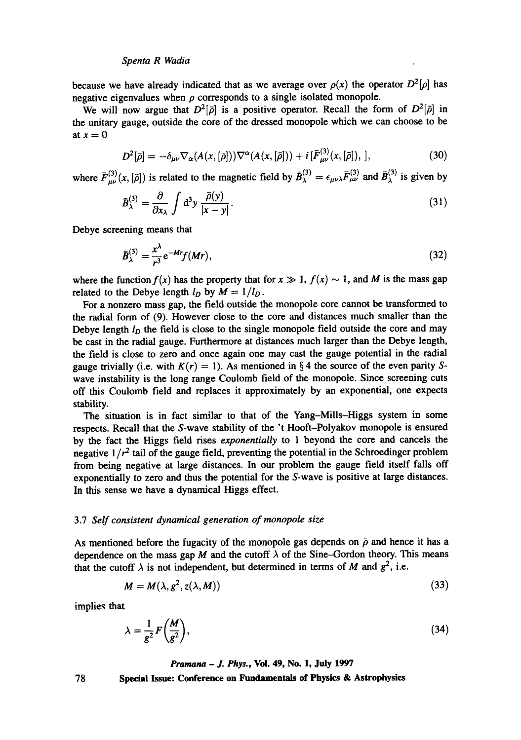because we have already indicated that as we average over  $\rho(x)$  the operator  $D^2[\rho]$  has negative eigenvalues when  $\rho$  corresponds to a single isolated monopole.

We will now argue that  $D^2[\bar{\rho}]$  is a positive operator. Recall the form of  $D^2[\bar{\rho}]$  in the unitary gauge, outside the core of the dressed monopole which we can choose to be at  $x=0$ 

$$
D^{2}[\bar{\rho}] = -\delta_{\mu\nu}\nabla_{\alpha}(A(x,[\bar{\rho}]))\nabla^{\alpha}(A(x,[\bar{\rho}])) + i[\bar{F}^{(3)}_{\mu\nu}(x,[\bar{\rho}]),], \qquad (30)
$$

where  $\bar{F}_{\mu\nu}^{(3)}(x,[\bar{\rho}])$  is related to the magnetic field by  $\bar{B}_{\lambda}^{(3)} = \epsilon_{\mu\nu\lambda} \bar{F}_{\mu\nu}^{(3)}$  and  $\bar{B}_{\lambda}^{(3)}$  is given by

$$
\bar{B}_{\lambda}^{(3)} = \frac{\partial}{\partial x_{\lambda}} \int d^3 y \, \frac{\bar{\rho}(y)}{|x - y|}.\tag{31}
$$

Debye screening means that

$$
\bar{B}_{\lambda}^{(3)} = \frac{x^{\lambda}}{r^3} e^{-Mr} f(Mr), \qquad (32)
$$

where the function  $f(x)$  has the property that for  $x \gg 1$ ,  $f(x) \sim 1$ , and M is the mass gap related to the Debye length  $l_D$  by  $M = 1/l_D$ .

For a nonzero mass gap, the field outside the monopole core cannot be transformed **to**  the radial form of (9). However close to the core and distances much smaller than the Debye length *lo the* field is close to the single monopole field outside the core and may be cast in the radial gauge. Furthermore at distances much larger than the Debye length. the field is close to zero and once again one may cast the gauge potential in the radial gauge trivially (i.e. with  $K(r) = 1$ ). As mentioned in § 4 the source of the even parity Swave instability is the long range Coulomb field of the monopole. Since screening cuts off this Coulomb field and replaces it approximately by an exponential, one expects stability.

The situation is in fact similar to that of the Yang-Mills-Higgs system in some respects. Recall that the S-wave stability of the 't Hooft-Polyakov monopole is ensured by the fact the Higgs field rises *exponentially* to 1 beyond the core and cancels the negative  $1/r^2$  tail of the gauge field, preventing the potential in the Schroedinger problem from being negative at large distances. In our problem the gauge field itself falls off exponentially to zero and thus the potential for the S-wave is positive at large distances. In this sense we have a dynamical Higgs effect.

#### 3.7 *Self consistent dynamical generation of monopole size*

As mentioned before the fugacity of the monopole gas depends on  $\bar{\rho}$  and hence it has a dependence on the mass gap M and the cutoff  $\lambda$  of the Sine-Gordon theory. This means that the cutoff  $\lambda$  is not independent, but determined in terms of M and  $g^2$ , i.e.

$$
M = M(\lambda, g^2, z(\lambda, M))
$$
\n(33)

implies that

$$
\lambda = \frac{1}{g^2} F\left(\frac{M}{g^2}\right),\tag{34}
$$

*Pramana - J. Phys.,* Vol. 49, No. 1, July 1997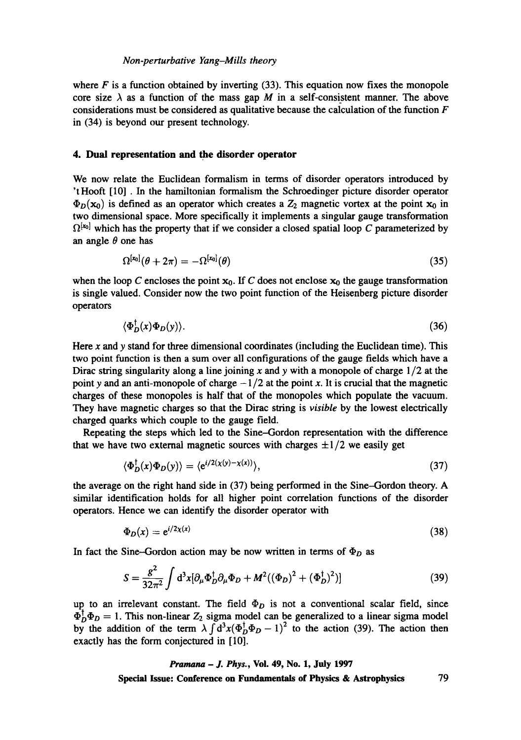## *Non-perturbative Yang-Mills theory*

where  $F$  is a function obtained by inverting (33). This equation now fixes the monopole core size  $\lambda$  as a function of the mass gap M in a self-consistent manner. The above considerations must be considered as qualitative because the calculation of the function  $F$ in (34) is beyond our present technology.

# **4. Dual representation and the disorder operator**

We now relate the Euclidean formalism in terms of disorder operators introduced by 'tHooft [10] . In the hamiltonian formalism the Schroedinger picture disorder operator  $\Phi_D(\mathbf{x}_0)$  is defined as an operator which creates a  $Z_2$  magnetic vortex at the point  $\mathbf{x}_0$  in two dimensional space. More specifically it implements a singular gauge transformation  $\Omega^{[x_0]}$  which has the property that if we consider a closed spatial loop C parameterized by an angle  $\theta$  one has

$$
\Omega^{[x_0]}(\theta + 2\pi) = -\Omega^{[x_0]}(\theta) \tag{35}
$$

when the loop C encloses the point  $x_0$ . If C does not enclose  $x_0$  the gauge transformation is single valued. Consider now the two point function of the Heisenberg picture disorder operators

$$
\langle \Phi_D^{\dagger}(x)\Phi_D(y)\rangle. \tag{36}
$$

Here  $x$  and  $y$  stand for three dimensional coordinates (including the Euclidean time). This two point function is then a sum over all configurations of the gauge fields which have a Dirac string singularity along a line joining x and y with a monopole of charge  $1/2$  at the point y and an anti-monopole of charge  $-1/2$  at the point x. It is crucial that the magnetic charges of these monopoles is half that of the monopoles which populate the vacuum. They have magnetic charges so that the Dirac string is *visible* by the lowest electrically charged quarks which couple to the gauge field.

Repeating the steps which led to the Sine-Gordon representation with the difference that we have two external magnetic sources with charges  $\pm 1/2$  we easily get

$$
\langle \Phi_D^{\dagger}(x)\Phi_D(y)\rangle = \langle e^{i/2(x(y)-x(x))}\rangle,\tag{37}
$$

the average on the right hand side in (37) being performed in the Sine--Gordon theory. A similar identification holds for all higher point correlation functions of the disorder operators. Hence we can identify the disorder operator with

$$
\Phi_D(x) = e^{i/2\chi(x)}\tag{38}
$$

In fact the Sine-Gordon action may be now written in terms of  $\Phi_D$  as

$$
S = \frac{g^2}{32\pi^2} \int d^3x [\partial_\mu \Phi_D^{\dagger} \partial_\mu \Phi_D + M^2 ((\Phi_D)^2 + (\Phi_D^{\dagger})^2)] \tag{39}
$$

up to an irrelevant constant. The field  $\Phi_D$  is not a conventional scalar field, since  $\Phi_D^{\dagger} \Phi_D = 1$ . This non-linear  $Z_2$  sigma model can be generalized to a linear sigma model by the addition of the term  $\lambda \int d^3x (\Phi_D^{\dagger} \Phi_D - 1)^2$  to the action (39). The action then exactly has the form conjectured in [10].

> *Pranmna - J. Phys.,* **Vol. 49, No. 1, July 1997 Special Issue: Conference on Fundamentals of Physics & Astrophysics** 79